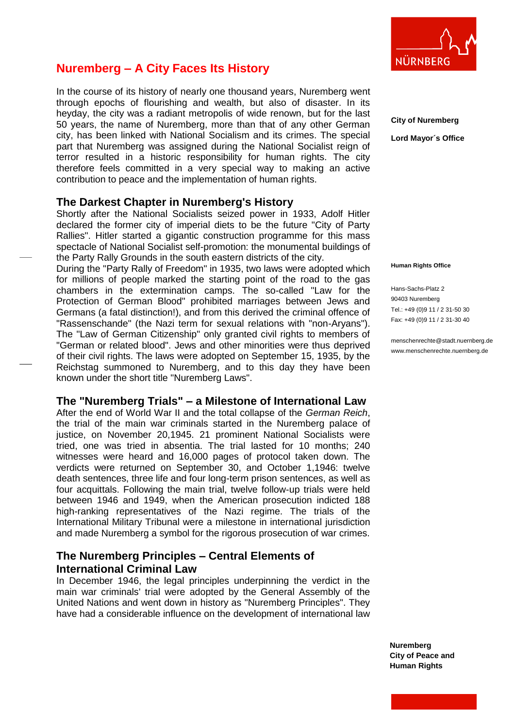

# **Nuremberg – A City Faces Its History**

In the course of its history of nearly one thousand years, Nuremberg went through epochs of flourishing and wealth, but also of disaster. In its heyday, the city was a radiant metropolis of wide renown, but for the last 50 years, the name of Nuremberg, more than that of any other German city, has been linked with National Socialism and its crimes. The special part that Nuremberg was assigned during the National Socialist reign of terror resulted in a historic responsibility for human rights. The city therefore feels committed in a very special way to making an active contribution to peace and the implementation of human rights.

## **The Darkest Chapter in Nuremberg's History**

Shortly after the National Socialists seized power in 1933, Adolf Hitler declared the former city of imperial diets to be the future "City of Party Rallies". Hitler started a gigantic construction programme for this mass spectacle of National Socialist self-promotion: the monumental buildings of the Party Rally Grounds in the south eastern districts of the city.

During the "Party Rally of Freedom" in 1935, two laws were adopted which for millions of people marked the starting point of the road to the gas chambers in the extermination camps. The so-called "Law for the Protection of German Blood" prohibited marriages between Jews and Germans (a fatal distinction!), and from this derived the criminal offence of "Rassenschande" (the Nazi term for sexual relations with "non-Aryans"). The "Law of German Citizenship" only granted civil rights to members of "German or related blood". Jews and other minorities were thus deprived of their civil rights. The laws were adopted on September 15, 1935, by the Reichstag summoned to Nuremberg, and to this day they have been known under the short title "Nuremberg Laws".

# **The "Nuremberg Trials" – a Milestone of International Law**

After the end of World War II and the total collapse of the *German Reich*, the trial of the main war criminals started in the Nuremberg palace of justice, on November 20,1945. 21 prominent National Socialists were tried, one was tried in absentia. The trial lasted for 10 months; 240 witnesses were heard and 16,000 pages of protocol taken down. The verdicts were returned on September 30, and October 1,1946: twelve death sentences, three life and four long-term prison sentences, as well as four acquittals. Following the main trial, twelve follow-up trials were held between 1946 and 1949, when the American prosecution indicted 188 high-ranking representatives of the Nazi regime. The trials of the International Military Tribunal were a milestone in international jurisdiction and made Nuremberg a symbol for the rigorous prosecution of war crimes.

# **The Nuremberg Principles – Central Elements of International Criminal Law**

In December 1946, the legal principles underpinning the verdict in the main war criminals' trial were adopted by the General Assembly of the United Nations and went down in history as "Nuremberg Principles". They have had a considerable influence on the development of international law **City of Nuremberg Lord Mayor´s Office**

**Human Rights Office**

Hans-Sachs-Platz 2 90403 Nuremberg Tel.: +49 (0)9 11 / 2 31-50 30 Fax: +49 (0)9 11 / 2 31-30 40

menschenrechte@stadt.nuernberg.de www.menschenrechte.nuernberg.de

**Nuremberg City of Peace and Human Rights**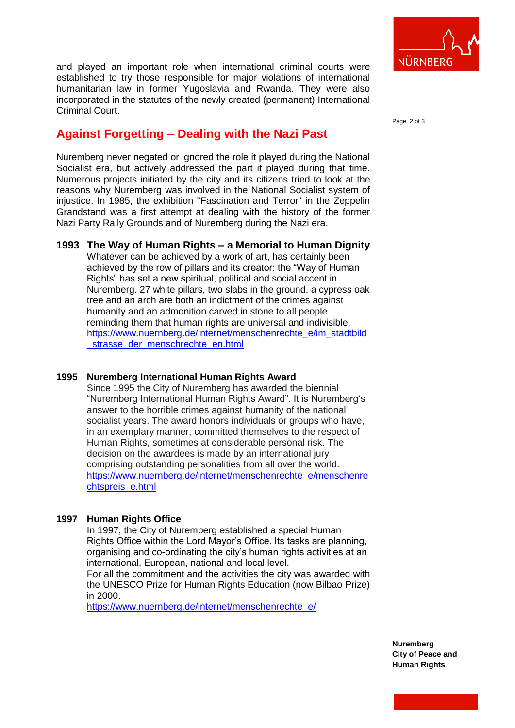

and played an important role when international criminal courts were established to try those responsible for major violations of international humanitarian law in former Yugoslavia and Rwanda. They were also incorporated in the statutes of the newly created (permanent) International Criminal Court.

Page 2 of 3

# **Against Forgetting – Dealing with the Nazi Past**

Nuremberg never negated or ignored the role it played during the National Socialist era, but actively addressed the part it played during that time. Numerous projects initiated by the city and its citizens tried to look at the reasons why Nuremberg was involved in the National Socialist system of injustice. In 1985, the exhibition "Fascination and Terror" in the Zeppelin Grandstand was a first attempt at dealing with the history of the former Nazi Party Rally Grounds and of Nuremberg during the Nazi era.

## **1993 The Way of Human Rights – a Memorial to Human Dignity** Whatever can be achieved by a work of art, has certainly been achieved by the row of pillars and its creator: the "Way of Human Rights" has set a new spiritual, political and social accent in Nuremberg. 27 white pillars, two slabs in the ground, a cypress oak tree and an arch are both an indictment of the crimes against humanity and an admonition carved in stone to all people reminding them that human rights are universal and indivisible. [https://www.nuernberg.de/internet/menschenrechte\\_e/im\\_stadtbild](https://www.nuernberg.de/internet/menschenrechte_e/im_stadtbild_strasse_der_menschrechte_en.html) strasse der menschrechte en.html

### **1995 Nuremberg International Human Rights Award**

Since 1995 the City of Nuremberg has awarded the biennial "Nuremberg International Human Rights Award". It is Nuremberg's answer to the horrible crimes against humanity of the national socialist years. The award honors individuals or groups who have, in an exemplary manner, committed themselves to the respect of Human Rights, sometimes at considerable personal risk. The decision on the awardees is made by an international jury comprising outstanding personalities from all over the world. [https://www.nuernberg.de/internet/menschenrechte\\_e/menschenre](https://www.nuernberg.de/internet/menschenrechte_e/menschenrechtspreis_e.html) [chtspreis\\_e.html](https://www.nuernberg.de/internet/menschenrechte_e/menschenrechtspreis_e.html)

## **1997 Human Rights Office**

In 1997, the City of Nuremberg established a special Human Rights Office within the Lord Mayor's Office. Its tasks are planning, organising and co-ordinating the city's human rights activities at an international, European, national and local level.

For all the commitment and the activities the city was awarded with the UNESCO Prize for Human Rights Education (now Bilbao Prize) in 2000.

[https://www.nuernberg.de/internet/menschenrechte\\_e/](https://www.nuernberg.de/internet/menschenrechte_e/)

**Nuremberg City of Peace and Human Rights**